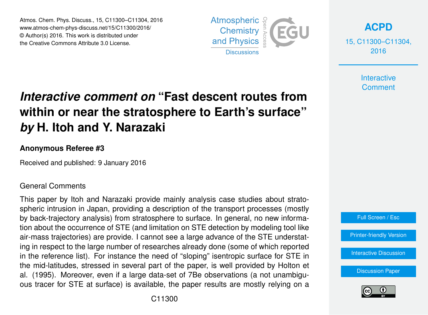Atmos. Chem. Phys. Discuss., 15, C11300–C11304, 2016 www.atmos-chem-phys-discuss.net/15/C11300/2016/ © Author(s) 2016. This work is distributed under the Creative Commons Attribute 3.0 License.



**[ACPD](http://www.atmos-chem-phys-discuss.net)**

15, C11300–C11304, 2016

> **Interactive Comment**

# *Interactive comment on* **"Fast descent routes from within or near the stratosphere to Earth's surface"** *by* **H. Itoh and Y. Narazaki**

#### **Anonymous Referee #3**

Received and published: 9 January 2016

### General Comments

This paper by Itoh and Narazaki provide mainly analysis case studies about stratospheric intrusion in Japan, providing a description of the transport processes (mostly by back-trajectory analysis) from stratosphere to surface. In general, no new information about the occurrence of STE (and limitation on STE detection by modeling tool like air-mass trajectories) are provide. I cannot see a large advance of the STE understating in respect to the large number of researches already done (some of which reported in the reference list). For instance the need of "sloping" isentropic surface for STE in the mid-latitudes, stressed in several part of the paper, is well provided by Holton et al. (1995). Moreover, even if a large data-set of 7Be observations (a not unambiguous tracer for STE at surface) is available, the paper results are mostly relying on a



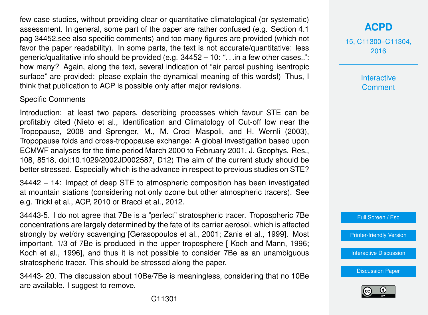few case studies, without providing clear or quantitative climatological (or systematic) assessment. In general, some part of the paper are rather confused (e.g. Section 4.1 pag 34452,see also specific comments) and too many figures are provided (which not favor the paper readability). In some parts, the text is not accurate/quantitative: less generic/qualitative info should be provided (e.g. 34452 – 10: ". . .in a few other cases..": how many? Again, along the text, several indication of "air parcel pushing isentropic surface" are provided: please explain the dynamical meaning of this words!) Thus, I think that publication to ACP is possible only after major revisions.

### Specific Comments

Introduction: at least two papers, describing processes which favour STE can be profitably cited (Nieto et al., Identification and Climatology of Cut-off low near the Tropopause, 2008 and Sprenger, M., M. Croci Maspoli, and H. Wernli (2003), Tropopause folds and cross-tropopause exchange: A global investigation based upon ECMWF analyses for the time period March 2000 to February 2001, J. Geophys. Res., 108, 8518, doi:10.1029/2002JD002587, D12) The aim of the current study should be better stressed. Especially which is the advance in respect to previous studies on STE?

34442 – 14: Impact of deep STE to atmospheric composition has been investigated at mountain stations (considering not only ozone but other atmospheric tracers). See e.g. Trickl et al., ACP, 2010 or Bracci et al., 2012.

34443-5. I do not agree that 7Be is a "perfect" stratospheric tracer. Tropospheric 7Be concentrations are largely determined by the fate of its carrier aerosol, which is affected strongly by wet/dry scavenging [Gerasopoulos et al., 2001; Zanis et al., 1999]. Most important, 1/3 of 7Be is produced in the upper troposphere [ Koch and Mann, 1996; Koch et al., 1996], and thus it is not possible to consider 7Be as an unambiguous stratospheric tracer. This should be stressed along the paper.

34443- 20. The discussion about 10Be/7Be is meaningless, considering that no 10Be are available. I suggest to remove.

15, C11300–C11304, 2016

> Interactive **Comment**



[Printer-friendly Version](http://www.atmos-chem-phys-discuss.net/15/C11300/2016/acpd-15-C11300-2016-print.pdf)

[Interactive Discussion](http://www.atmos-chem-phys-discuss.net/15/34439/2015/acpd-15-34439-2015-discussion.html)

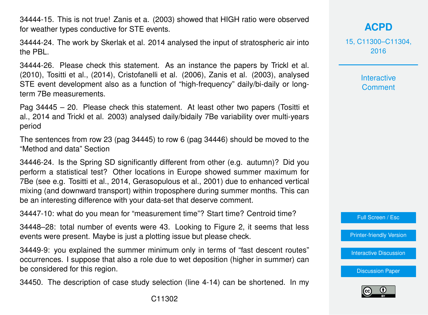34444-15. This is not true! Zanis et a. (2003) showed that HIGH ratio were observed for weather types conductive for STE events.

34444-24. The work by Skerlak et al. 2014 analysed the input of stratospheric air into the PBL.

34444-26. Please check this statement. As an instance the papers by Trickl et al. (2010), Tositti et al., (2014), Cristofanelli et al. (2006), Zanis et al. (2003), analysed STE event development also as a function of "high-frequency" daily/bi-daily or longterm 7Be measurements.

Pag 34445 – 20. Please check this statement. At least other two papers (Tositti et al., 2014 and Trickl et al. 2003) analysed daily/bidaily 7Be variability over multi-years period

The sentences from row 23 (pag 34445) to row 6 (pag 34446) should be moved to the "Method and data" Section

34446-24. Is the Spring SD significantly different from other (e.g. autumn)? Did you perform a statistical test? Other locations in Europe showed summer maximum for 7Be (see e.g. Tositti et al., 2014, Gerasopulous et al., 2001) due to enhanced vertical mixing (and downward transport) within troposphere during summer months. This can be an interesting difference with your data-set that deserve comment.

34447-10: what do you mean for "measurement time"? Start time? Centroid time?

34448–28: total number of events were 43. Looking to Figure 2, it seems that less events were present. Maybe is just a plotting issue but please check.

34449-9: you explained the summer minimum only in terms of "fast descent routes" occurrences. I suppose that also a role due to wet deposition (higher in summer) can be considered for this region.

34450. The description of case study selection (line 4-14) can be shortened. In my

## **[ACPD](http://www.atmos-chem-phys-discuss.net)**

15, C11300–C11304, 2016

> Interactive **Comment**

Full Screen / Esc

[Printer-friendly Version](http://www.atmos-chem-phys-discuss.net/15/C11300/2016/acpd-15-C11300-2016-print.pdf)

[Interactive Discussion](http://www.atmos-chem-phys-discuss.net/15/34439/2015/acpd-15-34439-2015-discussion.html)

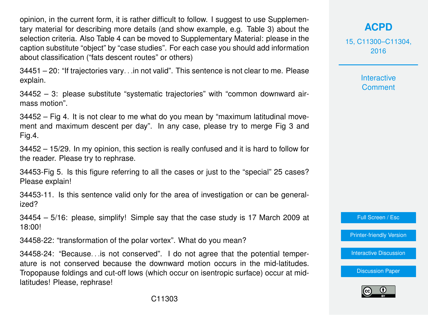opinion, in the current form, it is rather difficult to follow. I suggest to use Supplementary material for describing more details (and show example, e.g. Table 3) about the selection criteria. Also Table 4 can be moved to Supplementary Material: please in the caption substitute "object" by "case studies". For each case you should add information about classification ("fats descent routes" or others)

34451 – 20: "If trajectories vary. . .in not valid". This sentence is not clear to me. Please explain.

34452 – 3: please substitute "systematic trajectories" with "common downward airmass motion".

34452 – Fig 4. It is not clear to me what do you mean by "maximum latitudinal movement and maximum descent per day". In any case, please try to merge Fig 3 and Fig.4.

34452 – 15/29. In my opinion, this section is really confused and it is hard to follow for the reader. Please try to rephrase.

34453-Fig 5. Is this figure referring to all the cases or just to the "special" 25 cases? Please explain!

34453-11. Is this sentence valid only for the area of investigation or can be generalized?

34454 – 5/16: please, simplify! Simple say that the case study is 17 March 2009 at 18:00!

34458-22: "transformation of the polar vortex". What do you mean?

34458-24: "Because. . .is not conserved". I do not agree that the potential temperature is not conserved because the downward motion occurs in the mid-latitudes. Tropopause foldings and cut-off lows (which occur on isentropic surface) occur at midlatitudes! Please, rephrase!

## **[ACPD](http://www.atmos-chem-phys-discuss.net)**

15, C11300–C11304, 2016

> Interactive **Comment**

Full Screen / Esc

[Printer-friendly Version](http://www.atmos-chem-phys-discuss.net/15/C11300/2016/acpd-15-C11300-2016-print.pdf)

[Interactive Discussion](http://www.atmos-chem-phys-discuss.net/15/34439/2015/acpd-15-34439-2015-discussion.html)